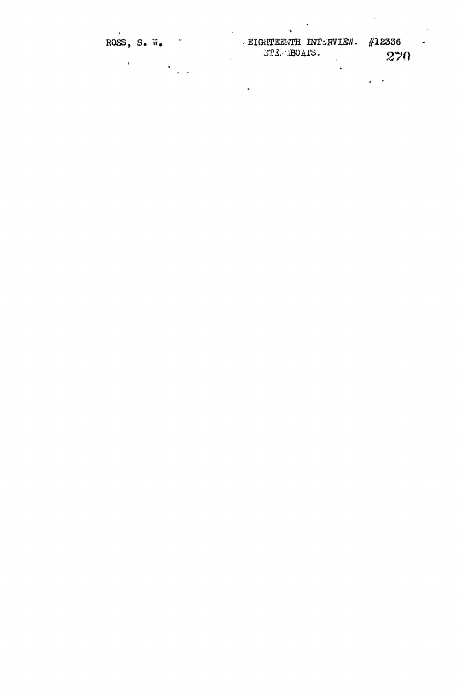| ROSS, S. W.<br>$\ddot{\phantom{1}}$ | <b>EIGHTEENTH INTERVIEW.</b><br>STEMBOAIS. | #12336<br>$\overline{\phantom{a}}$<br>270 |
|-------------------------------------|--------------------------------------------|-------------------------------------------|
|                                     | ٠                                          |                                           |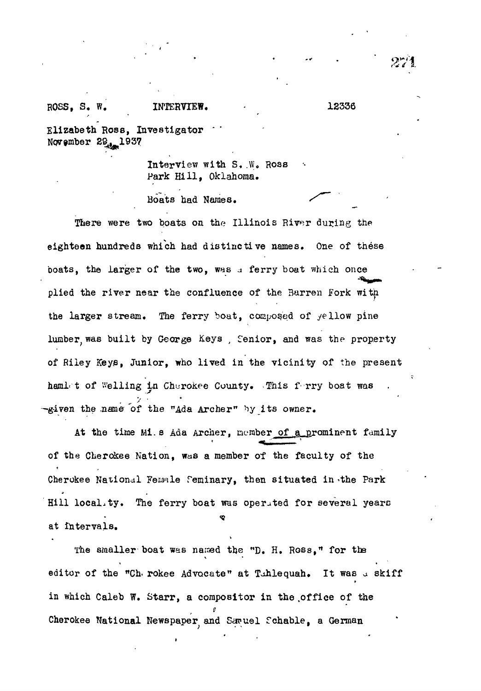## ROSS, S. W. INTERVIEW. 12336

Elizabeth Ross, Investigator November 29.1937

> Interview with S. W. Ross Park Hill, Oklahoma.

Boats had Names. *<^*

There were two boats on the Illinois River during the eighteen hundreds which had distinctive names. One of these boats, the larger of the two, was a ferry boat which once plied the river near the confluence of the Barren Fork with the larger stream. The ferry boat, composed of  $y$ ellow pine lumber, was built by George Keys, Senior, and was the property of Riley Keys, Junior, who lived in the vicinity of the present hamlet of Welling in Cherokee County. This ferry boat was  $\mathcal{F}$  is a set of  $\mathcal{F}$ -given the name of the "Ada Archer" by its owner.

At the time Mi. s Ada Archer, member of a prominent family of the Cherokee Nation, was a member of the faculty of the Cherokee National Female Feminary, then situated in the Park Hill locality. The ferry boat was operited for several years at intervals.

The smaller boat was named the "D. H. Ross," for the editor of the "Ch<sub>"</sub> rokee Advocate" at Tahlequah. It was a skiff in which Caleb W. Starr, a compositor in the office of the *t* Cherokee National Newspaper<sub>,</sub> and Samuel Schable, a German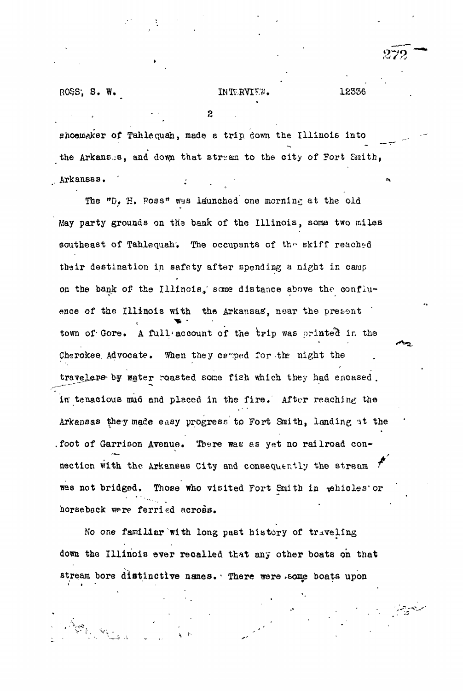$ROS$ ,  $S$ .  $W$ .

**v i<sup>1</sup>**

**. v;**

## $INTERVIEW.$  12336

2

shoemaker of Tahlequah, made a trip down the Illinois into the Arkansas, and down that stream to the city of Fort Smith, Arkansas. *:* <

The "D, H. Poss" was launched one morning at the old May party grounds on the bank of the Illinois, some two miles southeast of Tahlequah. The occupants of the skiff reached their destination in safety after spending a night in camp on the bank of the Illinois,' some distance above the confluence of the Illinois with the Arkansas, near the present town of Gore. A full account of the trip was printed in the Cherokee Advocate. When they cs-ped for the night the travelers by water roasted some fish which they had encased. in tenacious mud and placed in the fire. After reaching the Arkansas they made easy progress to Fort Smith, landing at the .foot of Garrison Avenue. There was as yet no railroad connection with the Arkansas City and consequently the stream was not bridged. Those who visited Fort Smith in pehicles or horseback were ferried across.

No one familiar with long past history of traveling down the Illinois ever recalled that any other boats on that stream bore distinctive names. There were some boats upon